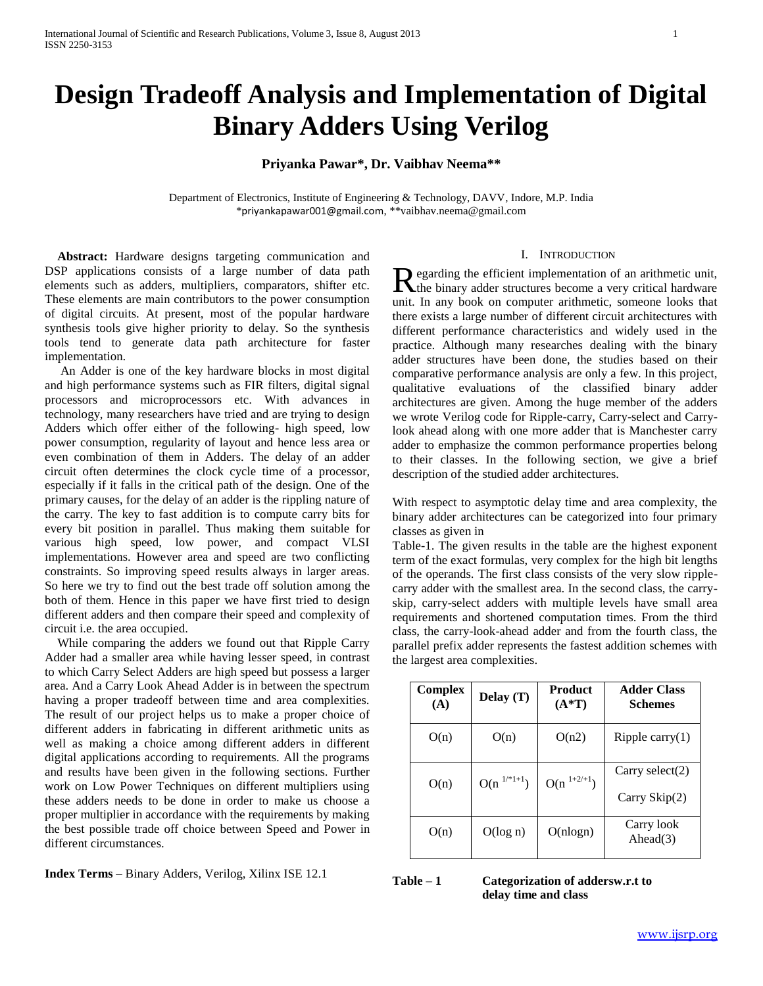# **Design Tradeoff Analysis and Implementation of Digital Binary Adders Using Verilog**

# **Priyanka Pawar\*, Dr. Vaibhav Neema\*\***

Department of Electronics, Institute of Engineering & Technology, DAVV, Indore, M.P. India \*[priyankapawar001@gmail.com](mailto:priyankapawar001@gmail.com), \*[\\*vaibhav.neema@gmail.com](mailto:vaibhav.neema@gmail.com)

 **Abstract:** Hardware designs targeting communication and DSP applications consists of a large number of data path elements such as adders, multipliers, comparators, shifter etc. These elements are main contributors to the power consumption of digital circuits. At present, most of the popular hardware synthesis tools give higher priority to delay. So the synthesis tools tend to generate data path architecture for faster implementation.

 An Adder is one of the key hardware blocks in most digital and high performance systems such as FIR filters, digital signal processors and microprocessors etc. With advances in technology, many researchers have tried and are trying to design Adders which offer either of the following- high speed, low power consumption, regularity of layout and hence less area or even combination of them in Adders. The delay of an adder circuit often determines the clock cycle time of a processor, especially if it falls in the critical path of the design. One of the primary causes, for the delay of an adder is the rippling nature of the carry. The key to fast addition is to compute carry bits for every bit position in parallel. Thus making them suitable for various high speed, low power, and compact VLSI implementations. However area and speed are two conflicting constraints. So improving speed results always in larger areas. So here we try to find out the best trade off solution among the both of them. Hence in this paper we have first tried to design different adders and then compare their speed and complexity of circuit i.e. the area occupied.

 While comparing the adders we found out that Ripple Carry Adder had a smaller area while having lesser speed, in contrast to which Carry Select Adders are high speed but possess a larger area. And a Carry Look Ahead Adder is in between the spectrum having a proper tradeoff between time and area complexities. The result of our project helps us to make a proper choice of different adders in fabricating in different arithmetic units as well as making a choice among different adders in different digital applications according to requirements. All the programs and results have been given in the following sections. Further work on Low Power Techniques on different multipliers using these adders needs to be done in order to make us choose a proper multiplier in accordance with the requirements by making the best possible trade off choice between Speed and Power in different circumstances.

**Index Terms** – Binary Adders, Verilog, Xilinx ISE 12.1

## I. INTRODUCTION

**D** egarding the efficient implementation of an arithmetic unit, Regarding the efficient implementation of an arithmetic unit,<br>the binary adder structures become a very critical hardware unit. In any book on computer arithmetic, someone looks that there exists a large number of different circuit architectures with different performance characteristics and widely used in the practice. Although many researches dealing with the binary adder structures have been done, the studies based on their comparative performance analysis are only a few. In this project, qualitative evaluations of the classified binary adder architectures are given. Among the huge member of the adders we wrote Verilog code for Ripple-carry, Carry-select and Carrylook ahead along with one more adder that is Manchester carry adder to emphasize the common performance properties belong to their classes. In the following section, we give a brief description of the studied adder architectures.

With respect to asymptotic delay time and area complexity, the binary adder architectures can be categorized into four primary classes as given in

Table-1. The given results in the table are the highest exponent term of the exact formulas, very complex for the high bit lengths of the operands. The first class consists of the very slow ripplecarry adder with the smallest area. In the second class, the carryskip, carry-select adders with multiple levels have small area requirements and shortened computation times. From the third class, the carry-look-ahead adder and from the fourth class, the parallel prefix adder represents the fastest addition schemes with the largest area complexities.

| Complex<br>(A) | Delay $(T)$     | Product<br>$(A^*T)$ | <b>Adder Class</b><br><b>Schemes</b> |
|----------------|-----------------|---------------------|--------------------------------------|
| O(n)           | O(n)            | O(n2)               | Ripple carry $(1)$                   |
| O(n)           | $O(n^{1/*1+1})$ | $O(n^{1+2/+1})$     | Carry select $(2)$<br>Carry Skip(2)  |
| O(n)           | O(log n)        | O(nlogn)            | Carry look<br>Ahead $(3)$            |

## **Table – 1 Categorization of addersw.r.t to delay time and class**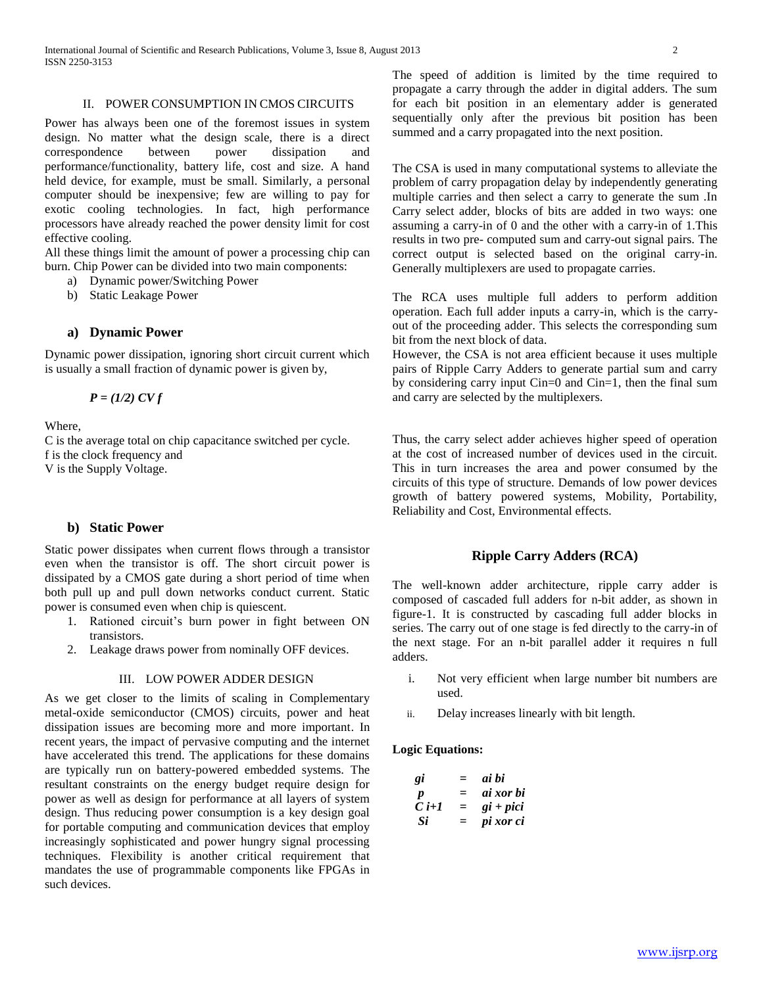## II. POWER CONSUMPTION IN CMOS CIRCUITS

Power has always been one of the foremost issues in system design. No matter what the design scale, there is a direct correspondence between power dissipation and performance/functionality, battery life, cost and size. A hand held device, for example, must be small. Similarly, a personal computer should be inexpensive; few are willing to pay for exotic cooling technologies. In fact, high performance processors have already reached the power density limit for cost effective cooling.

All these things limit the amount of power a processing chip can burn. Chip Power can be divided into two main components:

a) Dynamic power/Switching Power

b) Static Leakage Power

## **a) Dynamic Power**

Dynamic power dissipation, ignoring short circuit current which is usually a small fraction of dynamic power is given by,

*P = (1/2) CV f* 

Where,

C is the average total on chip capacitance switched per cycle. f is the clock frequency and V is the Supply Voltage.

## **b) Static Power**

Static power dissipates when current flows through a transistor even when the transistor is off. The short circuit power is dissipated by a CMOS gate during a short period of time when both pull up and pull down networks conduct current. Static power is consumed even when chip is quiescent.

- 1. Rationed circuit's burn power in fight between ON transistors.
- 2. Leakage draws power from nominally OFF devices.

#### III. LOW POWER ADDER DESIGN

As we get closer to the limits of scaling in Complementary metal-oxide semiconductor (CMOS) circuits, power and heat dissipation issues are becoming more and more important. In recent years, the impact of pervasive computing and the internet have accelerated this trend. The applications for these domains are typically run on battery-powered embedded systems. The resultant constraints on the energy budget require design for power as well as design for performance at all layers of system design. Thus reducing power consumption is a key design goal for portable computing and communication devices that employ increasingly sophisticated and power hungry signal processing techniques. Flexibility is another critical requirement that mandates the use of programmable components like FPGAs in such devices.

The speed of addition is limited by the time required to propagate a carry through the adder in digital adders. The sum for each bit position in an elementary adder is generated sequentially only after the previous bit position has been summed and a carry propagated into the next position.

The CSA is used in many computational systems to alleviate the problem of carry propagation delay by independently generating multiple carries and then select a carry to generate the sum .In Carry select adder, blocks of bits are added in two ways: one assuming a carry-in of 0 and the other with a carry-in of 1.This results in two pre- computed sum and carry-out signal pairs. The correct output is selected based on the original carry-in. Generally multiplexers are used to propagate carries.

The RCA uses multiple full adders to perform addition operation. Each full adder inputs a carry-in, which is the carryout of the proceeding adder. This selects the corresponding sum bit from the next block of data.

However, the CSA is not area efficient because it uses multiple pairs of Ripple Carry Adders to generate partial sum and carry by considering carry input Cin=0 and Cin=1, then the final sum and carry are selected by the multiplexers.

Thus, the carry select adder achieves higher speed of operation at the cost of increased number of devices used in the circuit. This in turn increases the area and power consumed by the circuits of this type of structure. Demands of low power devices growth of battery powered systems, Mobility, Portability, Reliability and Cost, Environmental effects.

## **Ripple Carry Adders (RCA)**

The well-known adder architecture, ripple carry adder is composed of cascaded full adders for n-bit adder, as shown in figure-1. It is constructed by cascading full adder blocks in series. The carry out of one stage is fed directly to the carry-in of the next stage. For an n-bit parallel adder it requires n full adders.

- i. Not very efficient when large number bit numbers are used.
- ii. Delay increases linearly with bit length.

#### **Logic Equations:**

| gi               | $=$ | ai bi       |
|------------------|-----|-------------|
| $\boldsymbol{p}$ | $=$ | ai xor bi   |
| $C$ i+1          | $=$ | $gi + pici$ |
| Si               | $=$ | pi xor ci   |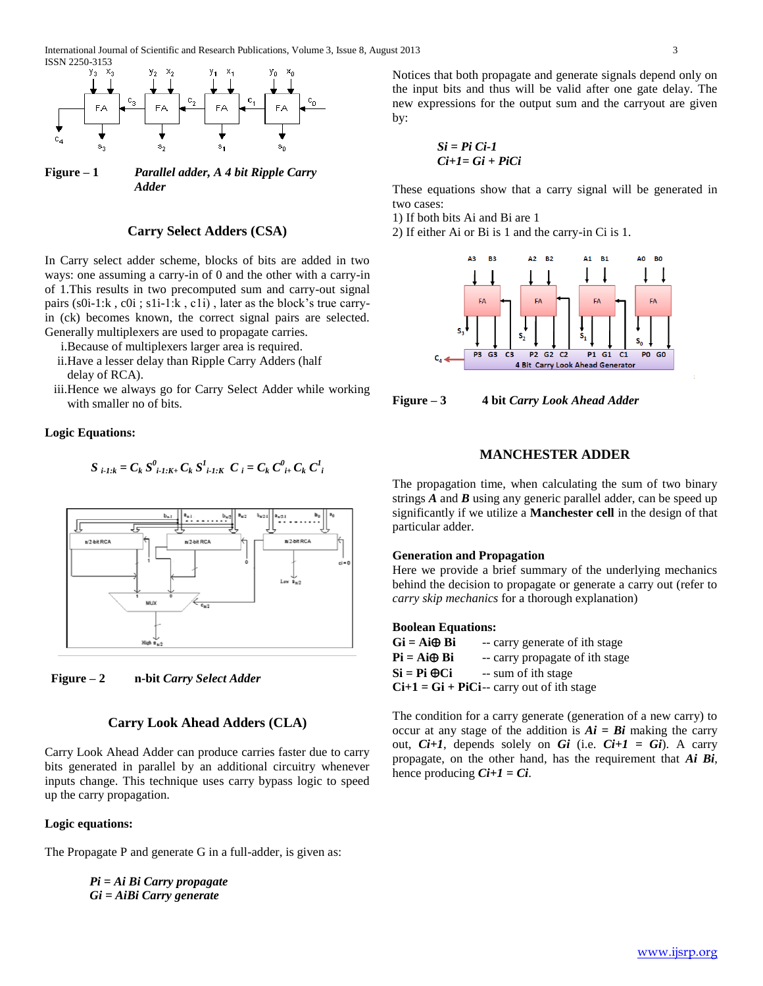

**Figure – 1** *Parallel adder, A 4 bit Ripple Carry Adder*

## **Carry Select Adders (CSA)**

In Carry select adder scheme, blocks of bits are added in two ways: one assuming a carry-in of 0 and the other with a carry-in of 1.This results in two precomputed sum and carry-out signal pairs (s0i-1:k , c0i ; s1i-1:k , c1i) , later as the block's true carryin (ck) becomes known, the correct signal pairs are selected. Generally multiplexers are used to propagate carries.

i.Because of multiplexers larger area is required.

- ii.Have a lesser delay than Ripple Carry Adders (half delay of RCA).
- iii.Hence we always go for Carry Select Adder while working with smaller no of bits.

## **Logic Equations:**

$$
S_{i-1:k} = C_k S^0_{i-1:K+} C_k S^1_{i-1:K} C_i = C_k C^0_{i+} C_k C^1_{i}
$$





## **Carry Look Ahead Adders (CLA)**

Carry Look Ahead Adder can produce carries faster due to carry bits generated in parallel by an additional circuitry whenever inputs change. This technique uses carry bypass logic to speed up the carry propagation.

#### **Logic equations:**

The Propagate P and generate G in a full-adder, is given as:

*Pi = Ai Bi Carry propagate Gi = AiBi Carry generate*

Notices that both propagate and generate signals depend only on the input bits and thus will be valid after one gate delay. The new expressions for the output sum and the carryout are given by:

*Si = Pi Ci-1 Ci+1= Gi + PiCi*

These equations show that a carry signal will be generated in two cases:

1) If both bits Ai and Bi are 1

2) If either Ai or Bi is 1 and the carry-in Ci is 1.



**Figure – 3 4 bit** *Carry Look Ahead Adder*

## **MANCHESTER ADDER**

The propagation time, when calculating the sum of two binary strings *A* and *B* using any generic parallel adder, can be speed up significantly if we utilize a **Manchester cell** in the design of that particular adder.

## **Generation and Propagation**

Here we provide a brief summary of the underlying mechanics behind the decision to propagate or generate a carry out (refer to *carry skip mechanics* for a thorough explanation)

#### **Boolean Equations:**

| Gi = Ai⊕ Bi | -- carry generate of ith stage               |
|-------------|----------------------------------------------|
| Pi = Ai⊕ Bi | -- carry propagate of ith stage              |
| Si = Pi ⊕Ci | -- sum of ith stage                          |
|             | $Ci+1 = Gi + Pici$ -- carry out of ith stage |

The condition for a carry generate (generation of a new carry) to occur at any stage of the addition is  $Ai = Bi$  making the carry out, *Ci+1*, depends solely on *Gi* (i.e. *Ci+1 = Gi*). A carry propagate, on the other hand, has the requirement that *Ai Bi*, hence producing  $Ci+1 = Ci$ .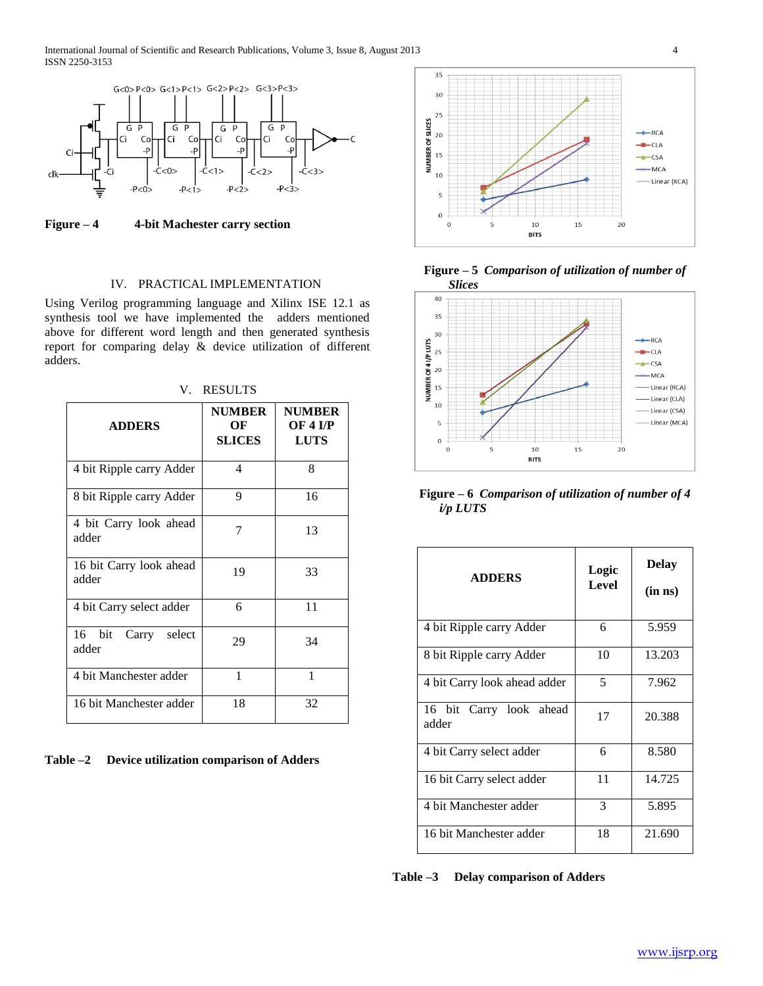

**Figure – 4 4-bit Machester carry section**

## IV. PRACTICAL IMPLEMENTATION

Using Verilog programming language and Xilinx ISE 12.1 as synthesis tool we have implemented the adders mentioned above for different word length and then generated synthesis report for comparing delay & device utilization of different adders.

| <b>ADDERS</b>                    | <b>NUMBER</b><br>OF<br><b>SLICES</b> | <b>NUMBER</b><br><b>OF 4 I/P</b><br><b>LUTS</b> |
|----------------------------------|--------------------------------------|-------------------------------------------------|
| 4 bit Ripple carry Adder         | 4                                    | 8                                               |
| 8 bit Ripple carry Adder         | 9                                    | 16                                              |
| 4 bit Carry look ahead<br>adder  | 7                                    | 13                                              |
| 16 bit Carry look ahead<br>adder | 19                                   | 33                                              |
| 4 bit Carry select adder         | 6                                    | 11                                              |
| 16 bit<br>Carry select<br>adder  | 29                                   | 34                                              |
| 4 bit Manchester adder           | 1                                    | 1                                               |
| 16 bit Manchester adder          | 18                                   | 32                                              |

V. RESULTS





**Figure – 5** *Comparison of utilization of number of*



**Figure – 6** *Comparison of utilization of number of 4 i/p LUTS*

| <b>ADDERS</b>                    | Logic<br><b>Level</b> | <b>Delay</b><br>$(in \; ns)$ |
|----------------------------------|-----------------------|------------------------------|
| 4 bit Ripple carry Adder         | 6                     | 5.959                        |
| 8 bit Ripple carry Adder         | 10                    | 13.203                       |
| 4 bit Carry look ahead adder     | 5                     | 7.962                        |
| 16 bit Carry look ahead<br>adder | 17                    | 20.388                       |
| 4 bit Carry select adder         | 6                     | 8.580                        |
| 16 bit Carry select adder        | 11                    | 14.725                       |
| 4 bit Manchester adder           | 3                     | 5.895                        |
| 16 bit Manchester adder          | 18                    | 21.690                       |

**Table –3 Delay comparison of Adders**